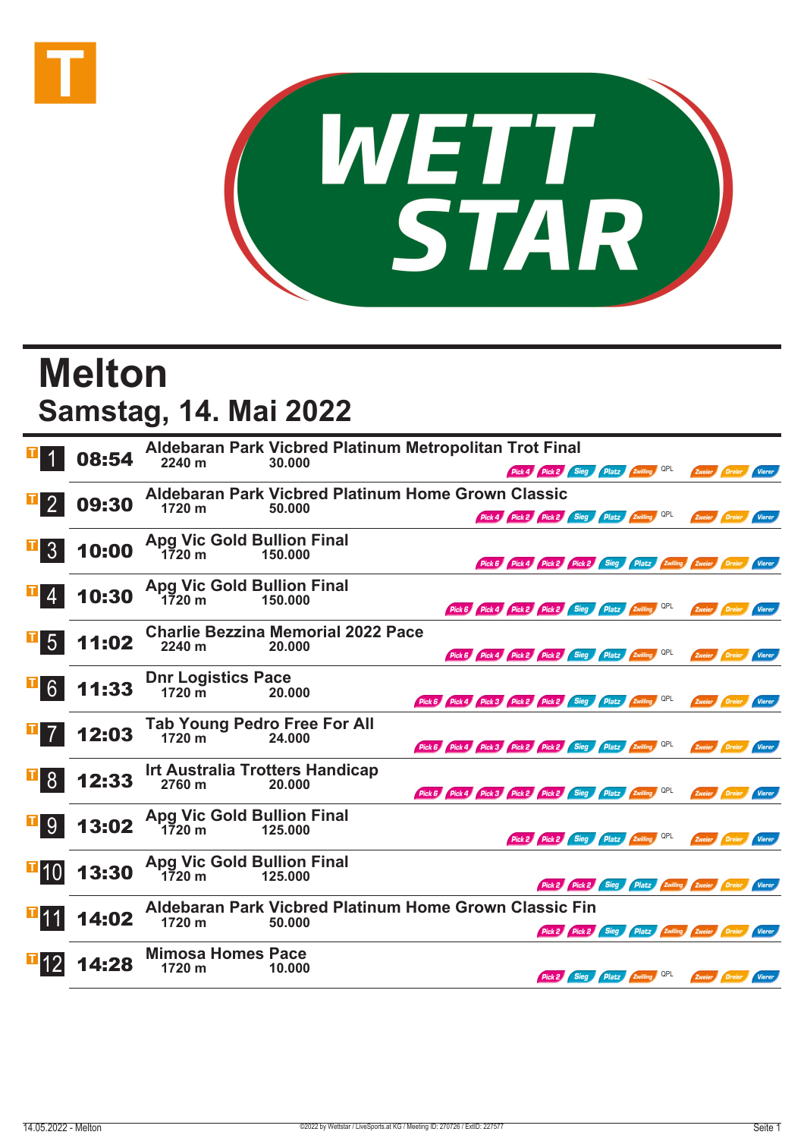



## **Melton Samstag, 14. Mai 2022**

|                 | 08:54 | 2240 m                             | Aldebaran Park Vicbred Platinum Metropolitan Trot Final<br>30.000 |                                                             |                                                     | Pick 4 Pick 2 Sieg Platz Zwilling QPL                                |                                |                                                        |               | Zweier Dreier        | <b>Vierer</b> |
|-----------------|-------|------------------------------------|-------------------------------------------------------------------|-------------------------------------------------------------|-----------------------------------------------------|----------------------------------------------------------------------|--------------------------------|--------------------------------------------------------|---------------|----------------------|---------------|
|                 | 09:30 | 1720 m                             | Aldebaran Park Vicbred Platinum Home Grown Classic<br>50.000      |                                                             |                                                     | Pick 4 Pick 2 Pick 2 Sieg Platz Zwilling QPL                         |                                |                                                        | Zweier Dreier |                      | Vierer        |
| 3 <sup>1</sup>  | 10:00 |                                    | Apg Vic Gold Bullion Final<br>1720 m 150.000                      |                                                             |                                                     | Pick 6 Pick 4 Pick 2 Pick 2 Sieg Platz Zwilling Zweier Dreier Vierer |                                |                                                        |               |                      |               |
|                 | 10:30 | 1720 m                             | <b>Apg Vic Gold Bullion Final</b><br>150.000                      |                                                             | Pick 6 Pick 4 Pick 2 Pick 2 Sieg Platz 2willing QPL |                                                                      |                                |                                                        |               | Zweier Dreier Vierer |               |
| 5 <sup>5</sup>  | 11:02 | 2240 m                             | <b>Charlie Bezzina Memorial 2022 Pace</b><br>20.000               |                                                             | Pick 6 Pick 4 Pick 2 Pick 2 Sieg Platz Zwilling QPL |                                                                      |                                |                                                        |               | Zweier Dreier        | Vierer        |
| 6 <sup>1</sup>  | 11:33 | Dnr Logistics Pace<br>1720 m 20.0  | 20.000                                                            | Pick 6 Pick 4 Pick 3 Pick 2 Pick 2 Sieg Platz Zwilling QPL  |                                                     |                                                                      |                                |                                                        |               | Zweier Dreier Vierer |               |
| $\overline{7}$  | 12:03 | 1720 m                             | Tab Young Pedro Free For All<br>24.000                            | Pick 6 Pick 4 Pick 3 Pick 2 Pick 2 Sieg Platz 2 Willing QPL |                                                     |                                                                      |                                |                                                        |               | Zweier Dreier Vierer |               |
| 8 <sup>1</sup>  | 12:33 | 2760 m                             | <b>Irt Australia Trotters Handicap</b><br>20.000                  | Pick 6 Pick 4 Pick 3 Pick 2 Pick 2 Sieg Platz Zwilling QPL  |                                                     |                                                                      |                                |                                                        |               | Zweier Dreier Vierer |               |
| 9 <sup>°</sup>  | 13:02 |                                    | Apg Vic Gold Bullion Final<br>1720 m 125.000                      |                                                             |                                                     | Pick 2 Pick 2 Sieg Platz Zwilling QPL                                |                                |                                                        |               | Zweier Dreier        | Vierer        |
| $\mathbf{H}$ 10 | 13:30 |                                    | Apg Vic Gold Bullion Final<br>1720 m 125.000                      |                                                             |                                                     |                                                                      |                                | Pick 2 Pick 2 Sieg Platz Zwilling Zweier Dreier Vierer |               |                      |               |
| <b>T11</b>      | 14:02 | 1720 m                             | Aldebaran Park Vicbred Platinum Home Grown Classic Fin<br>50.000  |                                                             |                                                     |                                                                      |                                | Pick 2 Pick 2 Sieg Platz Zwilling Zweier Dreier Vierer |               |                      |               |
|                 | 14:28 | <b>Mimosa Homes Pace</b><br>1720 m | 10.000                                                            |                                                             |                                                     |                                                                      | Pick 2 Sieg Platz Zwilling QPL |                                                        | Zweier Dreier |                      | Vierer        |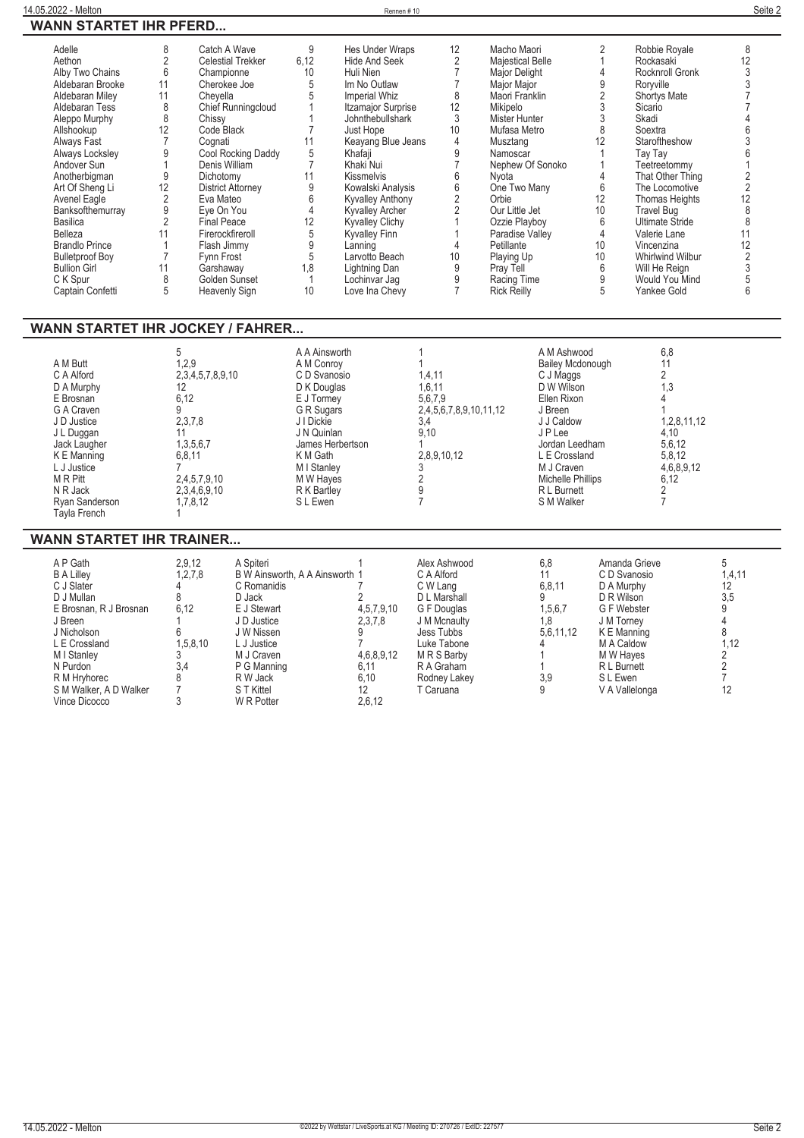| Rennen#1 |
|----------|
|----------|

| Adelle                 | 8  | Catch A Wave             | 9    | Hes Under Wraps           | 12              | Macho Maori        |    | Robbie Royale          |    |
|------------------------|----|--------------------------|------|---------------------------|-----------------|--------------------|----|------------------------|----|
| Aethon                 |    | <b>Celestial Trekker</b> | 6,12 | <b>Hide And Seek</b>      |                 | Majestical Belle   |    | Rockasaki              |    |
| Alby Two Chains        | 6  | Championne               | 10   | Huli Nien                 |                 | Major Delight      |    | Rocknroll Gronk        |    |
| Aldebaran Brooke       | 11 | Cherokee Joe             |      | Im No Outlaw              |                 | Major Major        |    | Roryville              |    |
| Aldebaran Miley        |    | Cheyella                 |      | Imperial Whiz             | 8               | Maori Franklin     |    | Shortys Mate           |    |
| Aldebaran Tess         | 8  | Chief Runningcloud       |      | <b>Itzamajor Surprise</b> | 12              | Mikipelo           |    | Sicario                |    |
| Aleppo Murphy          | 8  | Chissy                   |      | Johnthebullshark          | 3               | Mister Hunter      |    | Skadi                  |    |
| Allshookup             | 12 | Code Black               |      | Just Hope                 | 10 <sup>1</sup> | Mufasa Metro       |    | Soextra                |    |
| Always Fast            |    | Cognati                  | 11   | Keayang Blue Jeans        |                 | Musztang           |    | Staroftheshow          |    |
| Always Locksley        |    | Cool Rocking Daddy       |      | Khafaji                   |                 | Namoscar           |    | Tay Tay                |    |
| Andover Sun            |    | Denis William            |      | Khaki Nui                 |                 | Nephew Of Sonoko   |    | Teetreetommy           |    |
| Anotherbigman          | 9  | Dichotomy                | 11   | <b>Kissmelvis</b>         | h               | Nyota              |    | That Other Thing       |    |
| Art Of Sheng Li        | 12 | <b>District Attorney</b> |      | Kowalski Analysis         | 6               | One Two Many       | 6  | The Locomotive         |    |
| Avenel Eagle           |    | Eva Mateo                |      | <b>Kyvalley Anthony</b>   |                 | Orbie              | 12 | <b>Thomas Heights</b>  |    |
| Banksofthemurray       | 9  | Eye On You               |      | <b>Kyvalley Archer</b>    |                 | Our Little Jet     | 10 | Travel Bug             |    |
| Basilica               |    | <b>Final Peace</b>       | 12   | <b>Kyvalley Clichy</b>    |                 | Ozzie Playboy      |    | <b>Ultimate Stride</b> |    |
| Belleza                |    | Firerockfireroll         |      | Kyvalley Finn             |                 | Paradise Valley    |    | Valerie Lane           |    |
| <b>Brandlo Prince</b>  |    | Flash Jimmy              |      | Lanning                   |                 | Petillante         | 10 | Vincenzina             | 12 |
| <b>Bulletproof Boy</b> |    | Fynn Frost               |      | Larvotto Beach            | 10              | Playing Up         | 10 | Whirlwind Wilbur       |    |
| <b>Bullion Girl</b>    |    | Garshaway                | 1,8  | Lightning Dan             | 9               | Pray Tell          | 6  | Will He Reign          |    |
| C K Spur               | 8  | Golden Sunset            |      | Lochinvar Jag             |                 | Racing Time        |    | Would You Mind         |    |
| Captain Confetti       | 5  | <b>Heavenly Sign</b>     | 10   | Love Ina Chevy            |                 | <b>Rick Reilly</b> | 5  | Yankee Gold            |    |
|                        |    |                          |      |                           |                 |                    |    |                        |    |

## **WANN STARTET IHR JOCKEY / FAHRER...**

|                | 5                | A A Ainsworth    |                        | A M Ashwood             | 6,8         |
|----------------|------------------|------------------|------------------------|-------------------------|-------------|
| A M Butt       | 1,2.9            | A M Conroy       |                        | <b>Bailey Mcdonough</b> |             |
| C A Alford     | 2,3,4,5,7,8,9,10 | C D Svanosio     | 1,4,11                 | C J Maggs               |             |
| D A Murphy     | 12               | D K Douglas      | 1,6,11                 | D W Wilson              | 1,3         |
| E Brosnan      | 6,12             | E J Tormey       | 5,6,7,9                | Ellen Rixon             |             |
| G A Craven     |                  | G R Sugars       | 2,4,5,6,7,8,9,10,11,12 | J Breen                 |             |
| J D Justice    | 2,3,7,8          | J I Dickie       | 3.4                    | J J Caldow              | 1,2,8,11,12 |
| J L Duggan     | 11               | J N Quinlan      | 9,10                   | J P Lee                 | 4,10        |
| Jack Laugher   | 1,3,5,6,7        | James Herbertson |                        | Jordan Leedham          | 5,6,12      |
| K E Manning    | 6,8,11           | K M Gath         | 2,8,9,10,12            | L E Crossland           | 5,8,12      |
| L J Justice l  |                  | M I Stanley      |                        | M J Craven              | 4,6,8,9,12  |
| M R Pitt       | 2,4,5,7,9,10     | M W Haves        |                        | Michelle Phillips       | 6,12        |
| N R Jack       | 2,3,4,6,9,10     | R K Bartley      |                        | R L Burnett             |             |
| Ryan Sanderson | 1.7.8.12         | S L Ewen         |                        | S M Walker              |             |
| Tayla French   |                  |                  |                        |                         |             |

## **WANN STARTET IHR TRAINER...**

| A P Gath<br><b>B A Lilley</b><br>C J Slater<br>D J Mullan<br>E Brosnan, R J Brosnan<br>J Breen<br>J Nicholson<br>L E Crossland<br>M I Stanley<br>N Purdon<br>R M Hryhorec<br>S M Walker, A D Walker<br>Vince Dicocco | 2,9,12<br>1, 2, 7, 8<br>6,12<br>1,5,8,10<br>3,4 | A Spiteri<br>B W Ainsworth, A A Ainsworth 1<br>C Romanidis<br>D Jack<br>E J Stewart<br>J D Justice<br>J W Nissen<br>L J Justice<br>M J Craven<br>P G Manning<br>R W Jack<br>S T Kittel<br>W R Potter | 4,5,7,9,10<br>2,3,7,8<br>4,6,8,9,12<br>6.11<br>6,10<br>12<br>2,6,12 | Alex Ashwood<br>C A Alford<br>C W Lang<br>D L Marshall<br>G F Douglas<br>J M Mcnaulty<br>Jess Tubbs<br>Luke Tabone<br>M R S Barby<br>R A Graham<br>Rodney Lakey<br>T Caruana | 6,8<br>6,8,11<br>1,5,6,7<br>1.8<br>5.6.11.12<br>3.9 | Amanda Grieve<br>C D Svanosio<br>D A Murphy<br>D R Wilson<br>G F Webster<br>J M Torney<br>K E Manning<br>M A Caldow<br>M W Haves<br>R L Burnett<br>S L Ewen<br>V A Vallelonga | 1,4,11<br>12<br>3,5<br>1,12<br>12 |
|----------------------------------------------------------------------------------------------------------------------------------------------------------------------------------------------------------------------|-------------------------------------------------|------------------------------------------------------------------------------------------------------------------------------------------------------------------------------------------------------|---------------------------------------------------------------------|------------------------------------------------------------------------------------------------------------------------------------------------------------------------------|-----------------------------------------------------|-------------------------------------------------------------------------------------------------------------------------------------------------------------------------------|-----------------------------------|
|----------------------------------------------------------------------------------------------------------------------------------------------------------------------------------------------------------------------|-------------------------------------------------|------------------------------------------------------------------------------------------------------------------------------------------------------------------------------------------------------|---------------------------------------------------------------------|------------------------------------------------------------------------------------------------------------------------------------------------------------------------------|-----------------------------------------------------|-------------------------------------------------------------------------------------------------------------------------------------------------------------------------------|-----------------------------------|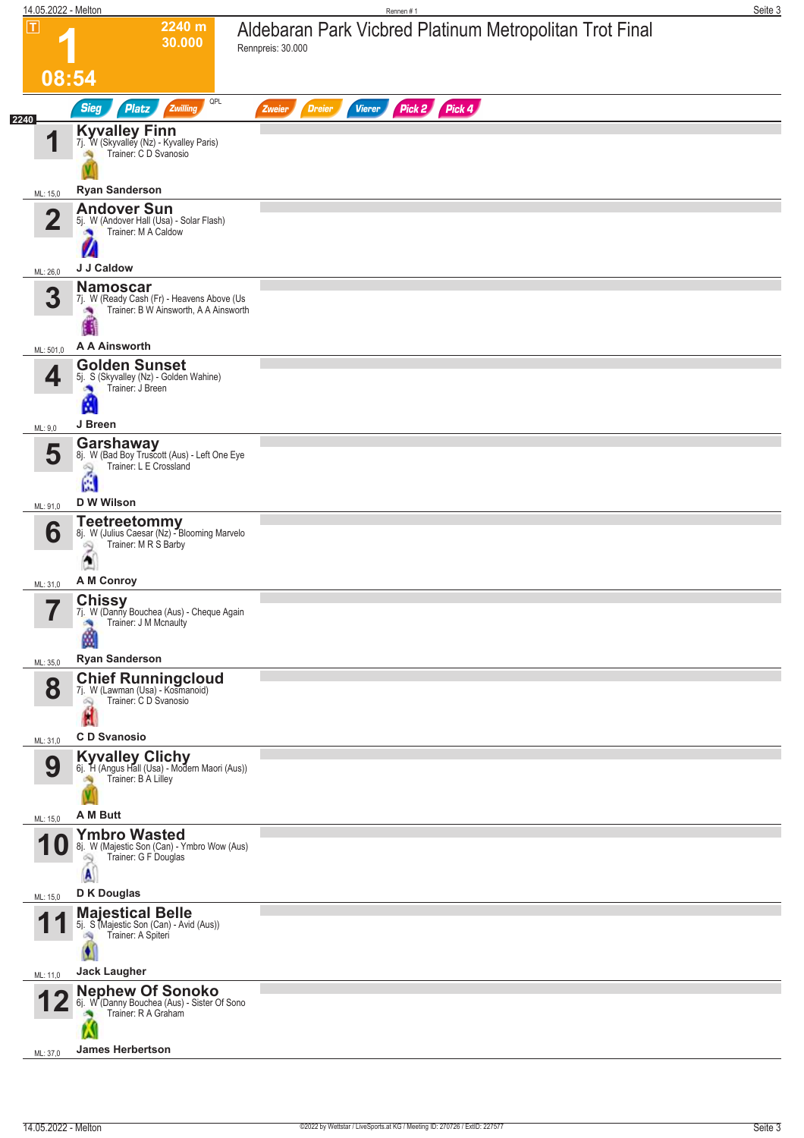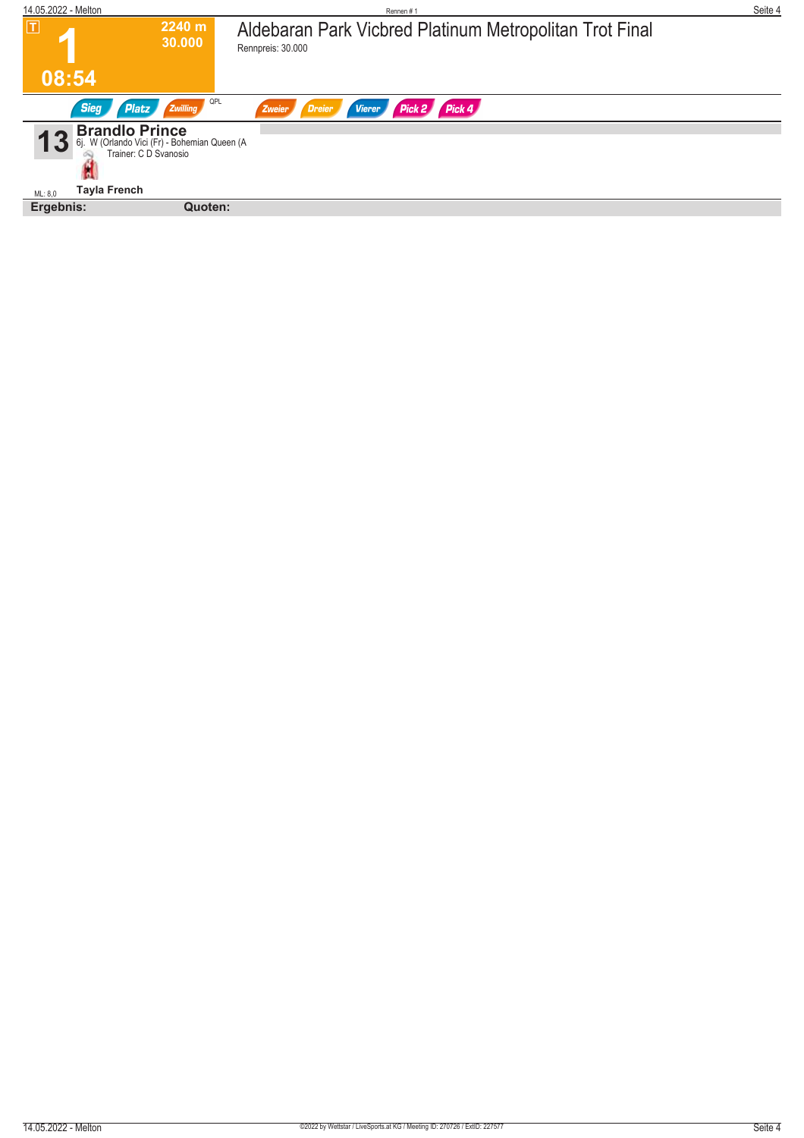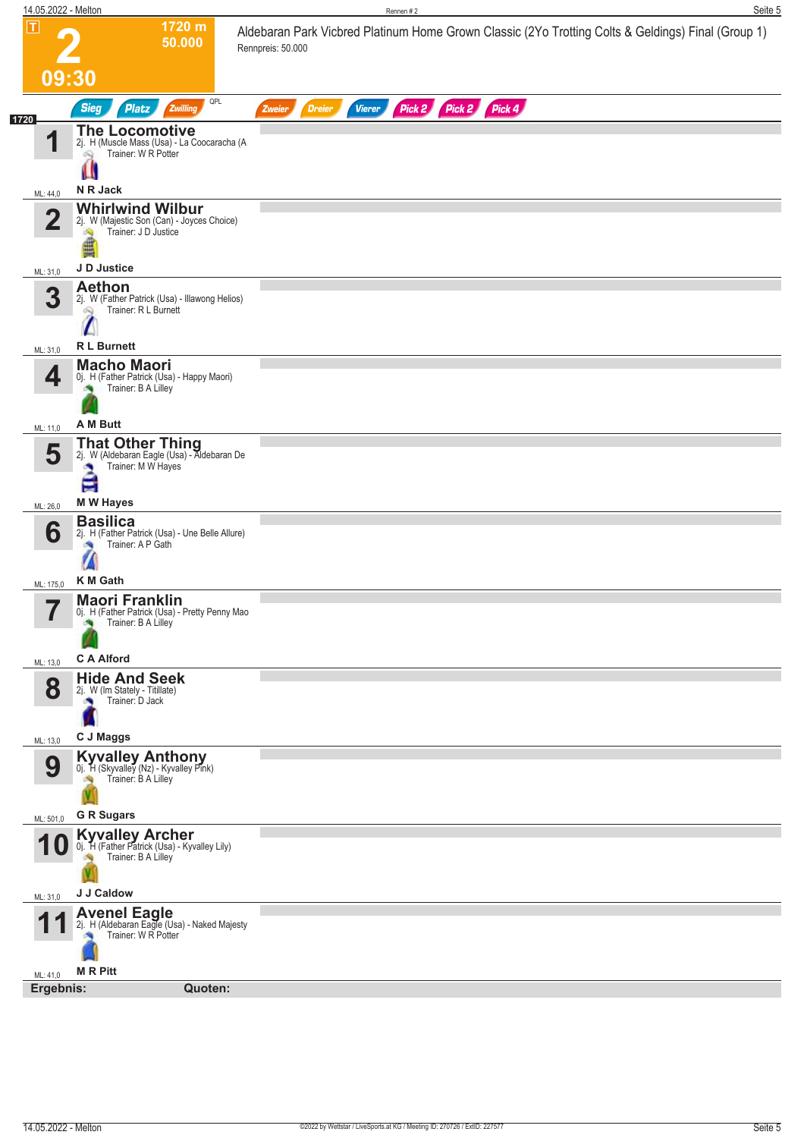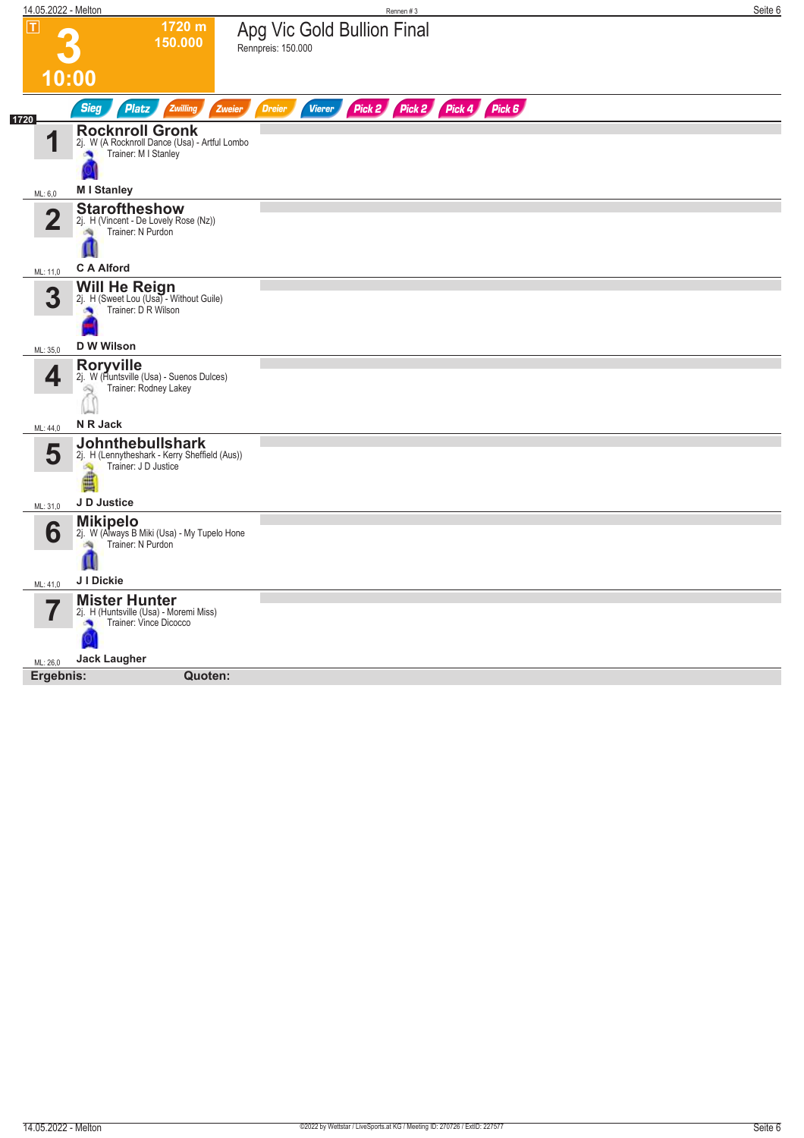| 14.05.2022 - Melton     |                                                                                                         | Rennen #3                                                     | Seite 6 |
|-------------------------|---------------------------------------------------------------------------------------------------------|---------------------------------------------------------------|---------|
| $\overline{\mathbf{L}}$ | 1720 m<br>150.000                                                                                       | Apg Vic Gold Bullion Final<br>Rennpreis: 150.000              |         |
|                         | 10:00                                                                                                   |                                                               |         |
| 1720                    | <b>Sieg</b><br><b>Platz</b><br>Zwilling<br>Zweier                                                       | <b>Dreier</b><br>Pick 2 Pick 2 Pick 4 Pick 6<br><b>Vierer</b> |         |
| А                       | <b>Rocknroll Gronk</b><br>2j. W (A Rocknroll Dance (Usa) - Artful Lombo<br>Trainer: M I Stanley<br>×    |                                                               |         |
| ML: 6,0                 | <b>MI Stanley</b>                                                                                       |                                                               |         |
| 2                       | <b>Staroftheshow</b><br>2j. H (Vincent - De Lovely Rose (Nz))<br>Trainer: N Purdon                      |                                                               |         |
| ML: 11,0                | <b>C A Alford</b>                                                                                       |                                                               |         |
| 3                       | <b>Will He Reign</b><br>2j. H (Sweet Lou (Usa) - Without Guile)<br>Trainer: D R Wilson                  |                                                               |         |
| ML: 35,0                | <b>D W Wilson</b>                                                                                       |                                                               |         |
| 4                       | <b>Roryville</b><br>2j. W (Auntsville (Usa) - Suenos Dulces)<br>Trainer: Rodney Lakey                   |                                                               |         |
| ML: 44,0                | N R Jack                                                                                                |                                                               |         |
| 5                       | <b>Johnthebullshark</b><br>2j. H (Lennytheshark - Kerry Sheffield (Aus))<br>Trainer: J D Justice<br>is. |                                                               |         |
| ML: 31,0                | J D Justice                                                                                             |                                                               |         |
| 6                       | <b>Mikipelo</b><br>2j. W (Always B Miki (Usa) - My Tupelo Hone<br>Trainer: N Purdon                     |                                                               |         |
| ML: 41,0                | J I Dickie                                                                                              |                                                               |         |
|                         | <b>Mister Hunter</b><br>2j. H (Huntsville (Usa) - Moremi Miss)<br>Trainer: Vince Dicocco<br>漁           |                                                               |         |
| ML: 26,0                | <b>Jack Laugher</b>                                                                                     |                                                               |         |
| Ergebnis:               | Quoten:                                                                                                 |                                                               |         |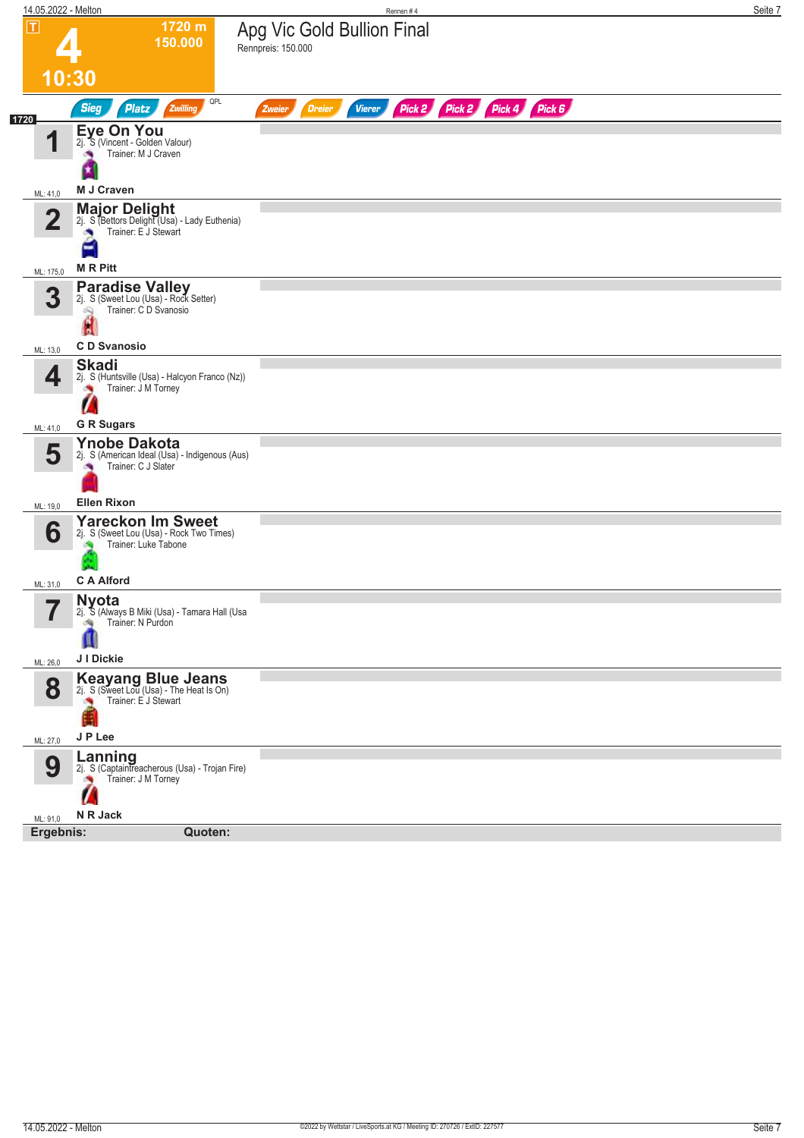| 14.05.2022 - Melton           |                                                                                              | Rennen#4                                                                       | Seite 7 |
|-------------------------------|----------------------------------------------------------------------------------------------|--------------------------------------------------------------------------------|---------|
| $\boxed{\text{T}}$            | 1720 m<br>150.000                                                                            | Apg Vic Gold Bullion Final<br>Rennpreis: 150.000                               |         |
|                               | 10:30                                                                                        |                                                                                |         |
| 1720                          | QPL<br><b>Sieg</b><br>Zwilling<br><b>Platz</b>                                               | Pick 2 Pick 2 Pick 4 Pick 6<br><b>Dreier</b><br><b>Vierer</b><br><b>Zweier</b> |         |
| 4                             | <b>Eye On You</b><br>2j. S (Vincent - Golden Valour)<br>Trainer: M J Craven                  |                                                                                |         |
|                               | M J Craven                                                                                   |                                                                                |         |
| ML: 41,0                      | <b>Major Delight</b><br>2j. S (Bettors Delight (Usa) - Lady Euthenia)                        |                                                                                |         |
| $\mathbf 2$                   | Trainer: E J Stewart                                                                         |                                                                                |         |
| ML: 175,0                     | <b>MRPitt</b>                                                                                |                                                                                |         |
| 3                             | Paradise Valley<br>2j. S (Sweet Lou (Usa) - Rock Setter)<br>Trainer: C D Svanosio<br>Q<br>Ĥ  |                                                                                |         |
| ML: 13,0                      | <b>CD</b> Svanosio                                                                           |                                                                                |         |
| 4                             | <b>Skadi</b><br>2j. S (Huntsville (Usa) - Halcyon Franco (Nz))<br>Trainer: J M Torney        |                                                                                |         |
|                               |                                                                                              |                                                                                |         |
| ML: 41,0                      | <b>G R Sugars</b>                                                                            |                                                                                |         |
| 5                             | <b>Ynobe Dakota</b><br>2j. S (American Ideal (Usa) - Indigenous (Aus)<br>Trainer: C J Slater |                                                                                |         |
| ML: 19,0                      | <b>Ellen Rixon</b>                                                                           |                                                                                |         |
| 6                             | <b>Yareckon Im Sweet</b><br>2j. S (Sweet Lou (Usa) - Rock Two Times)<br>Trainer: Luke Tabone |                                                                                |         |
| ML: 31,0                      | <b>C A Alford</b>                                                                            |                                                                                |         |
| $\overline{\phantom{a}}$<br>ı | <b>Nyota</b><br>2j. S (Always B Miki (Usa) - Tamara Hall (Usa<br>Trainer: N Purdon           |                                                                                |         |
| ML: 26,0                      | J I Dickie                                                                                   |                                                                                |         |
| 8                             | Keayang Blue Jeans<br>2j. S (Sweet Lou (Usa) - The Heat Is On)<br>Trainer: E J Stewart       |                                                                                |         |
| ML: 27,0                      | J P Lee                                                                                      |                                                                                |         |
| 9                             | Lanning<br>2j. S (Captaintreacherous (Usa) - Trojan Fire)<br>Trainer: J M Torney<br>×        |                                                                                |         |
| ML: 91,0                      | N R Jack                                                                                     |                                                                                |         |
| Ergebnis:                     | Quoten:                                                                                      |                                                                                |         |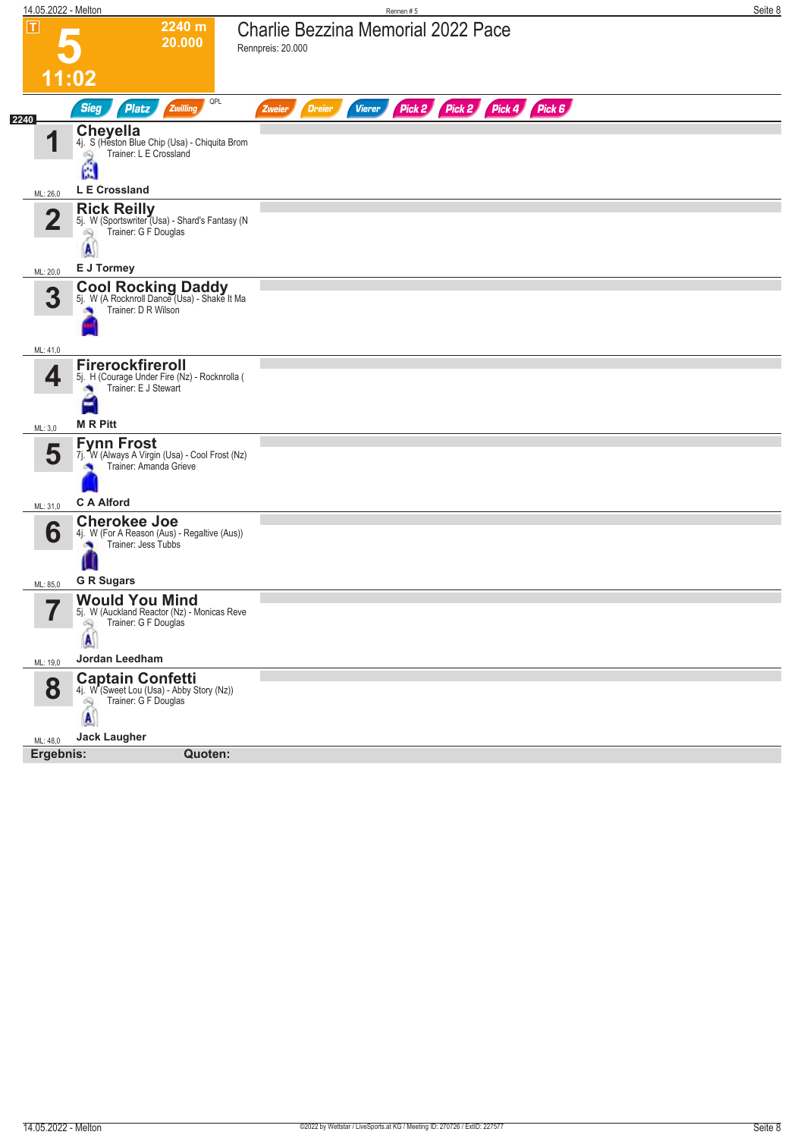| 14.05.2022 - Melton |                                                                                                                        | Rennen#5                                                                | Seite 8 |
|---------------------|------------------------------------------------------------------------------------------------------------------------|-------------------------------------------------------------------------|---------|
| $\boxed{\text{T}}$  | 2240 m<br>20.000                                                                                                       | <b>Charlie Bezzina Memorial 2022 Pace</b><br>Rennpreis: 20.000          |         |
|                     | 11:02                                                                                                                  |                                                                         |         |
| 2240                | QPL<br><b>Sieg</b><br>Zwilling<br><b>Platz</b>                                                                         | Pick 2 Pick 2 Pick 4 Pick 6<br><b>Dreier</b><br><b>Vierer</b><br>Zweier |         |
| И                   | <b>Cheyella</b><br>4j. S (Heston Blue Chip (Usa) - Chiquita Brom<br>Trainer: L E Crossland<br>$\hat{\mathbb{Z}}$<br>ß. |                                                                         |         |
| ML: 26,0            | L E Crossland                                                                                                          |                                                                         |         |
| $\overline{2}$      | Rick Reilly<br>5j. W (Sportswriter (Usa) - Shard's Fantasy (N<br>Trainer: G F Douglas<br>69<br>A                       |                                                                         |         |
| ML: 20,0            | E J Tormey                                                                                                             |                                                                         |         |
| 3                   | <b>Cool Rocking Daddy</b><br>5j. W (A Rocknroll Dance (Usa) - Shake It Ma<br>Trainer: D R Wilson                       |                                                                         |         |
| ML: 41,0            |                                                                                                                        |                                                                         |         |
| 4                   | Firerockfireroll<br>5j. H (Courage Under Fire (Nz) - Rocknrolla (<br>Trainer: E J Stewart<br>н                         |                                                                         |         |
| ML: 3,0             | <b>MRPitt</b>                                                                                                          |                                                                         |         |
| 5                   | <b>Fynn Frost</b><br>7j. W (Always A Virgin (Usa) - Cool Frost (Nz)<br>Trainer: Amanda Grieve<br><b>C A Alford</b>     |                                                                         |         |
| ML: 31,0            | <b>Cherokee Joe</b>                                                                                                    |                                                                         |         |
| 6                   | 4j. W (For A Reason (Aus) - Regaltive (Aus))<br>Trainer: Jess Tubbs                                                    |                                                                         |         |
| ML: 85,0            | <b>G R Sugars</b>                                                                                                      |                                                                         |         |
| 7                   | <b>Would You Mind</b><br>5j. W (Auckland Reactor (Nz) - Monicas Reve<br>Trainer: G F Douglas<br>2                      |                                                                         |         |
| ML: 19,0            | Jordan Leedham                                                                                                         |                                                                         |         |
| 8                   | <b>Captain Confetti</b><br>4j. W (Sweet Lou (Usa) - Abby Story (Nz))<br>Trainer: G F Douglas<br>闳<br>A                 |                                                                         |         |
| ML: 48,0            | <b>Jack Laugher</b>                                                                                                    |                                                                         |         |
|                     | Ergebnis:<br>Quoten:                                                                                                   |                                                                         |         |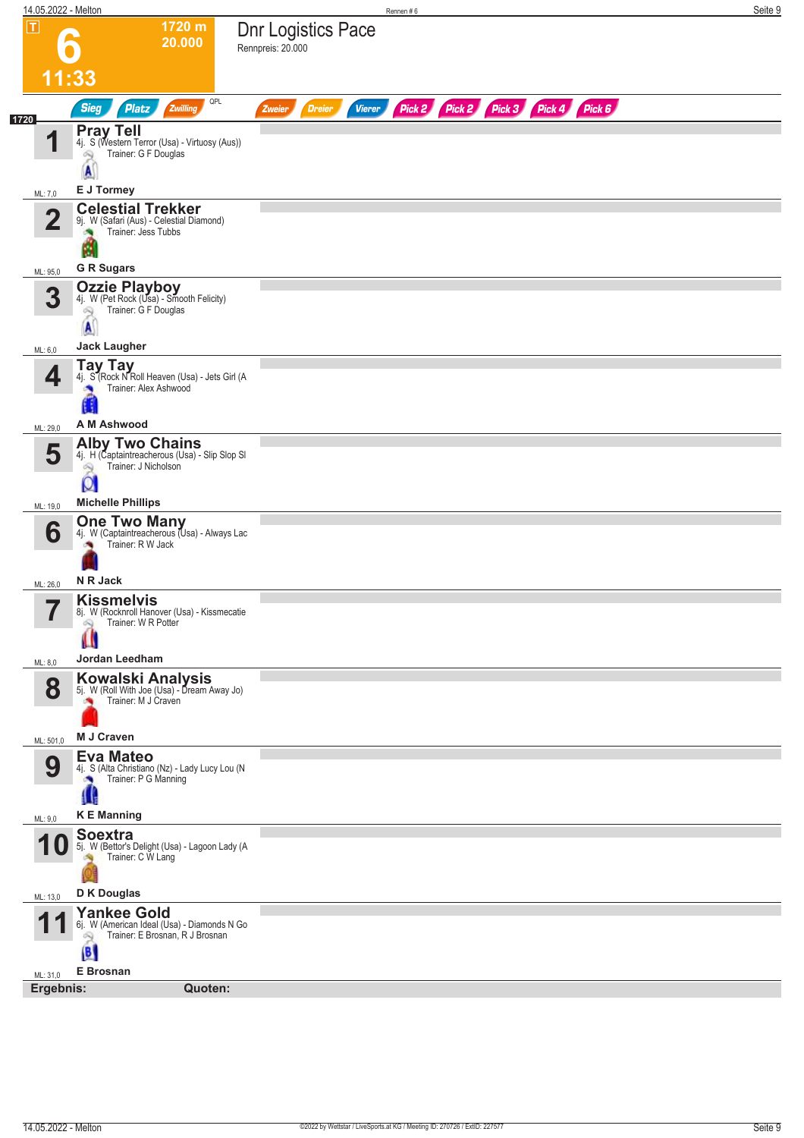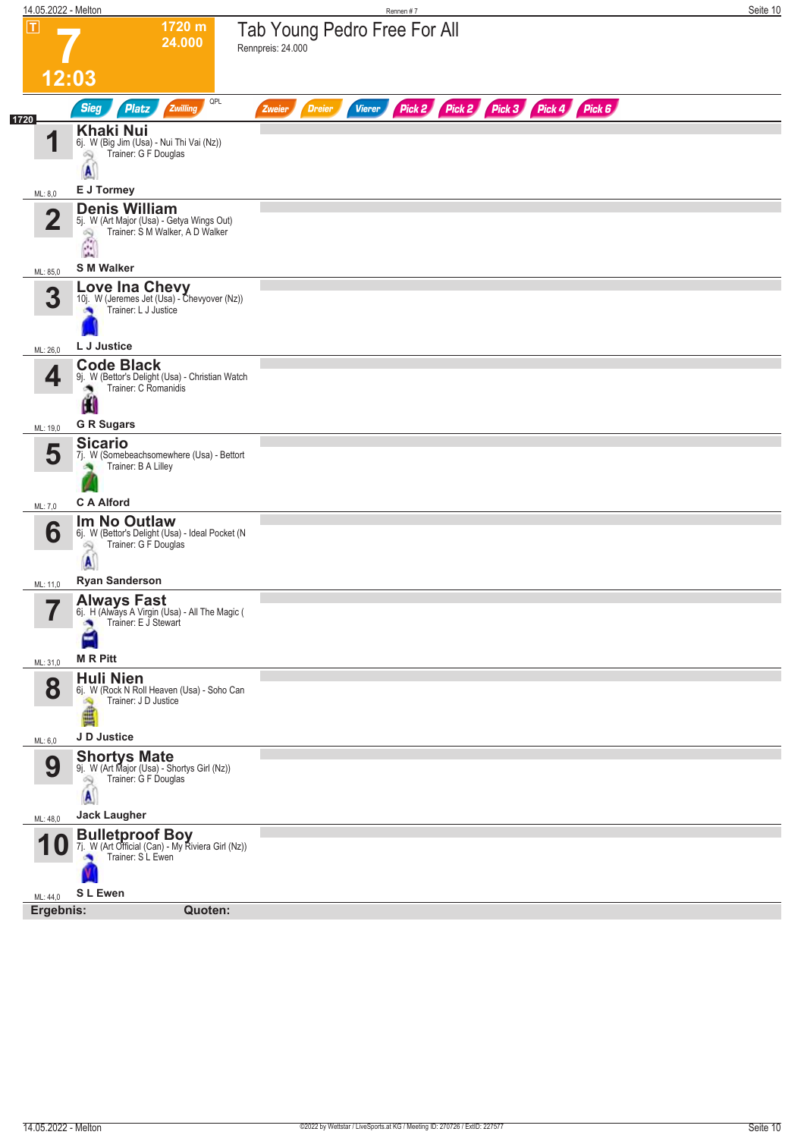| 14.05.2022 - Melton     |                                                                                                                           | Rennen #7                                                                      | Seite 10 |
|-------------------------|---------------------------------------------------------------------------------------------------------------------------|--------------------------------------------------------------------------------|----------|
| $\boxed{\text{T}}$      | 1720 m<br>24.000                                                                                                          | Tab Young Pedro Free For All<br>Rennpreis: 24.000                              |          |
| 12:03                   |                                                                                                                           |                                                                                |          |
| 1720                    | QPL<br><b>Sieg</b><br><b>Platz</b><br>Zwilling                                                                            | Pick 2 Pick 2 Pick 3 Pick 4 Pick 6<br><b>Dreier</b><br><b>Vierer</b><br>Zweier |          |
| И                       | <b>Khaki Nui</b><br>6j. W (Big Jim (Usa) - Nui Thi Vai (Nz))<br>Trainer: G F Douglas<br>4<br>A                            |                                                                                |          |
| ML: 8,0                 | E J Tormey                                                                                                                |                                                                                |          |
| $\overline{\mathbf{2}}$ | <b>Denis William</b><br>5j. W (Art Major (Usa) - Getya Wings Out)<br>Trainer: S M Walker, A D Walker<br>29<br>$\hat{\Xi}$ |                                                                                |          |
| ML: 85,0                | <b>S M Walker</b>                                                                                                         |                                                                                |          |
| 3                       | Love Ina Chevy<br>10j. W (Jeremes Jet (Usa) - Chevyover (Nz))<br>Trainer: L J Justice                                     |                                                                                |          |
| ML: 26,0                | L J Justice                                                                                                               |                                                                                |          |
| 4                       | <b>Code Black</b><br>9j. W (Bettor's Delight (Usa) - Christian Watch<br>Trainer: C Romanidis<br>Ш                         |                                                                                |          |
| ML: 19,0                | <b>G R Sugars</b>                                                                                                         |                                                                                |          |
| 5                       | <b>Sicario</b><br>7j. W (Somebeachsomewhere (Usa) - Bettort<br>Trainer: B A Lilley                                        |                                                                                |          |
| ML: 7,0                 | <b>C A Alford</b>                                                                                                         |                                                                                |          |
| 6                       | Im No Outlaw<br>6j. W (Bettor's Delight (Usa) - Ideal Pocket (N<br>Trainer: G F Douglas<br>Q                              |                                                                                |          |
| ML: 11,0                | <b>Ryan Sanderson</b>                                                                                                     |                                                                                |          |
| 7<br>ı                  | Always Fast<br>6j. H (Always A Virgin (Usa) - All The Magic (<br>Trainer: E J Stewart<br>×                                |                                                                                |          |
| ML: 31,0                | <b>MRPitt</b>                                                                                                             |                                                                                |          |
| 8                       | <b>Huli Nien</b><br>6j. W (Rock N Roll Heaven (Usa) - Soho Can<br>Trainer: J D Justice<br>ê                               |                                                                                |          |
| ML: 6,0                 | J D Justice                                                                                                               |                                                                                |          |
| 9                       | <b>Shortys Mate</b><br>9j. W (Art Major (Usa) - Shortys Girl (Nz))<br>Trainer: G F Douglas<br>A                           |                                                                                |          |
| ML: 48,0                | <b>Jack Laugher</b>                                                                                                       |                                                                                |          |
| 1 U                     | <b>Bulletproof Boy</b><br>7j. W (Art Official (Can) - My Riviera Girl (Nz))<br>Trainer: S L Ewen                          |                                                                                |          |
| ML: 44,0                | S L Ewen<br>Quoten:                                                                                                       |                                                                                |          |
| Ergebnis:               |                                                                                                                           |                                                                                |          |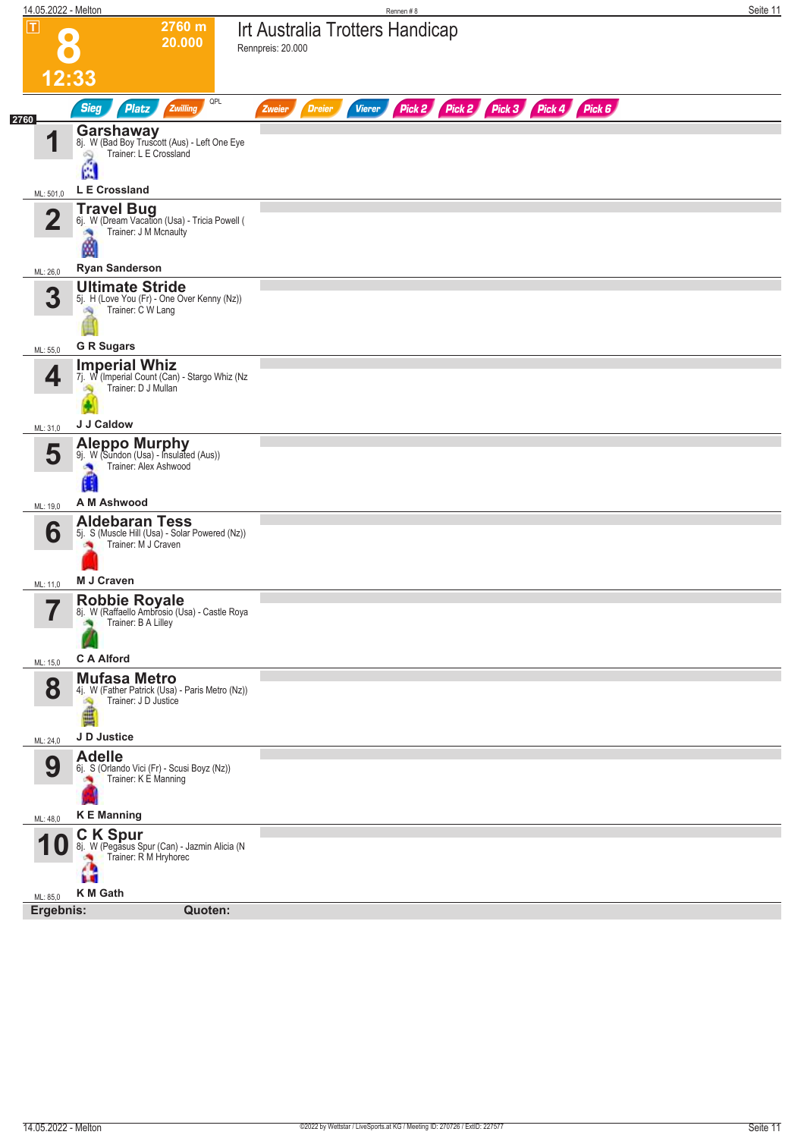| 14.05.2022 - Melton                 |                                                                                                              | Rennen#8                                                                       | Seite 11 |
|-------------------------------------|--------------------------------------------------------------------------------------------------------------|--------------------------------------------------------------------------------|----------|
| $ \mathbf{T} $                      | 2760 m<br>20.000                                                                                             | Irt Australia Trotters Handicap<br>Rennpreis: 20.000                           |          |
| 12:33                               |                                                                                                              |                                                                                |          |
| 2760                                | QPL<br><b>Sieg</b><br>Zwilling<br>Platz                                                                      | Pick 2 Pick 2 Pick 3 Pick 4 Pick 6<br><b>Dreier</b><br><b>Vierer</b><br>Zweier |          |
| 1                                   | <b>Garshaway</b><br>8j. W (Bad Boy Truscott (Aus) - Left One Eye<br>Trainer: L E Crossland<br>Å              |                                                                                |          |
| ML: 501,0                           | L E Crossland                                                                                                |                                                                                |          |
| $\overline{2}$                      | <b>Travel Bug</b><br>6j. W (Dream Vacation (Usa) - Tricia Powell (<br>Trainer: J M Mcnaulty<br>ø             |                                                                                |          |
| ML: 26,0                            | <b>Ryan Sanderson</b><br><b>Ultimate Stride</b>                                                              |                                                                                |          |
| 3                                   | 5j. H (Love You (Fr) - One Over Kenny (Nz))<br>Trainer: C W Lang<br>сų                                       |                                                                                |          |
| ML: 55,0                            | <b>G R Sugars</b>                                                                                            |                                                                                |          |
| 4                                   | <b>Imperial Whiz</b><br>7j. W (Imperial Count (Can) - Stargo Whiz (Nz<br>Trainer: D J Mullan                 |                                                                                |          |
| ML: 31,0                            | J J Caldow                                                                                                   |                                                                                |          |
| 5                                   | Aleppo Murphy<br>9j. W (Sundon (Usa) - Insulated (Aus))<br>Trainer: Alex Ashwood<br>×<br>O                   |                                                                                |          |
| ML: 19,0                            | A M Ashwood                                                                                                  |                                                                                |          |
| 6                                   | <b>Aldebaran Tess</b><br>5j. S (Muscle Hill (Usa) - Solar Powered (Nz))<br>Trainer: M J Craven<br>M J Craven |                                                                                |          |
| ML: 11,0<br>$\overline{\mathbf{z}}$ |                                                                                                              |                                                                                |          |
| П                                   | Robbie Royale<br>8j. W (Raffaello Ambrosio (Usa) - Castle Roya<br>Trainer: B A Lilley                        |                                                                                |          |
| ML: 15,0                            | <b>C A Alford</b>                                                                                            |                                                                                |          |
| 8                                   | <b>Mufasa Metro</b><br>4j. W (Father Patrick (Usa) - Paris Metro (Nz))<br>Trainer: J D Justice<br>Ą<br>ê     |                                                                                |          |
| ML: 24,0                            | J D Justice                                                                                                  |                                                                                |          |
| 9                                   | <b>Adelle</b><br>6j. S (Orlando Vici (Fr) - Scusi Boyz (Nz))<br>Trainer: K E Manning<br>×                    |                                                                                |          |
| ML: 48,0                            | <b>KE</b> Manning<br><b>CK Spur</b>                                                                          |                                                                                |          |
| 1 U                                 | 8j. W (Pegasus Spur (Can) - Jazmin Alicia (N<br>Trainer: R M Hryhorec<br>49<br>K M Gath                      |                                                                                |          |
| ML: 85,0<br>Ergebnis:               | Quoten:                                                                                                      |                                                                                |          |
|                                     |                                                                                                              |                                                                                |          |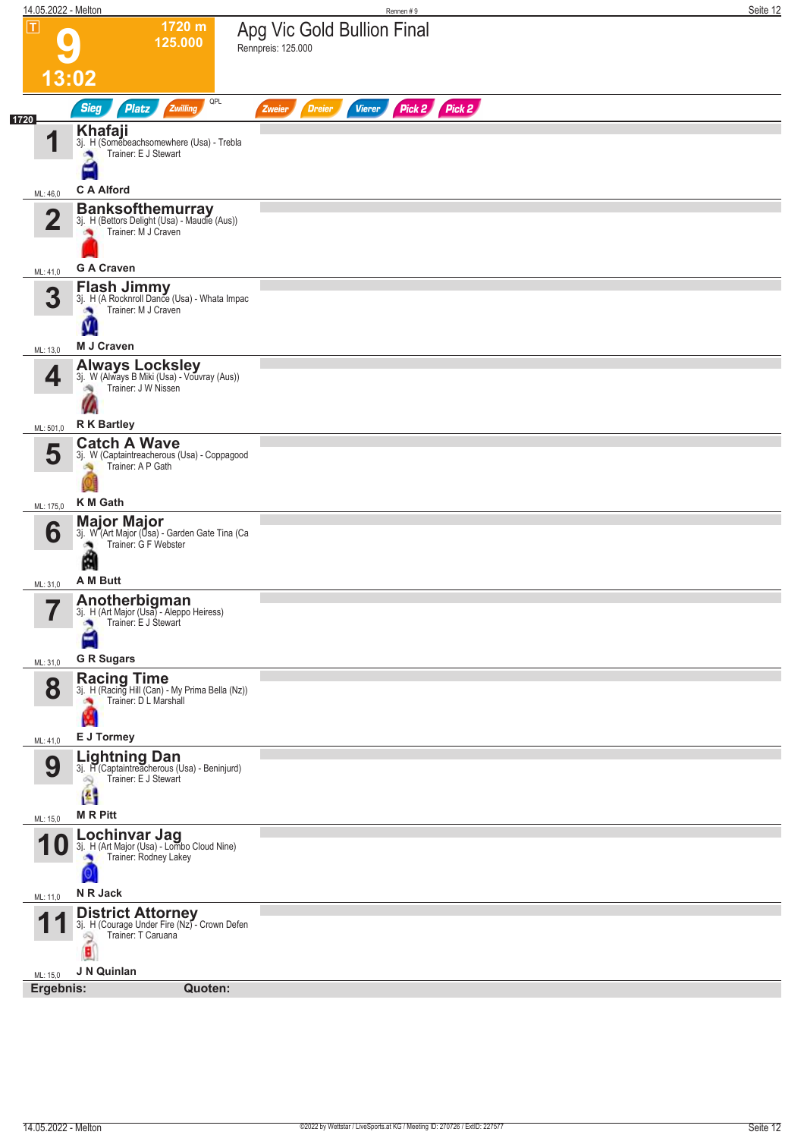![](_page_11_Figure_0.jpeg)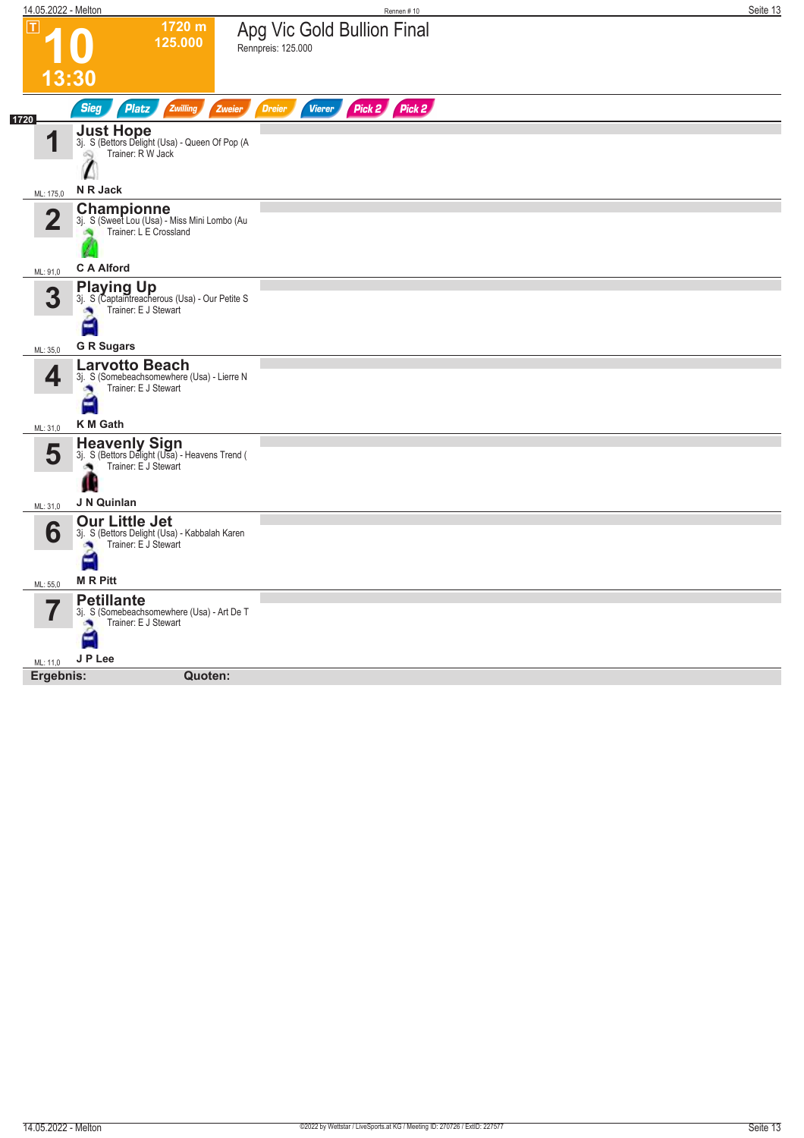| 14.05.2022 - Melton |                                                                                                          | Rennen #10                                       | Seite 13 |
|---------------------|----------------------------------------------------------------------------------------------------------|--------------------------------------------------|----------|
| П                   | 1720 m<br>125.000                                                                                        | Apg Vic Gold Bullion Final<br>Rennpreis: 125.000 |          |
|                     | <u> 13:30</u>                                                                                            |                                                  |          |
| 1720                | <b>Sieg</b><br><b>Platz</b><br>Zwilling<br>Zweier                                                        | Pick 2 Pick 2<br><b>Dreier</b><br><b>Vierer</b>  |          |
| 4                   | <b>Just Hope</b><br>3j. S (Bettors Delight (Usa) - Queen Of Pop (A<br>Trainer: R W Jack                  |                                                  |          |
| ML: 175,0           | N R Jack                                                                                                 |                                                  |          |
| $\overline{2}$      | Championne<br>3j. S (Sweet Lou (Usa) - Miss Mini Lombo (Au<br>Trainer: L E Crossland                     |                                                  |          |
| ML: 91,0            | <b>C A Alford</b>                                                                                        |                                                  |          |
| 3                   | <b>Playing Up</b><br>3j. S (Captaintreacherous (Usa) - Our Petite S<br>Trainer: E J Stewart<br>×<br>E    |                                                  |          |
| ML: 35,0            | <b>G R Sugars</b>                                                                                        |                                                  |          |
| 4                   | <b>Larvotto Beach</b><br>3j. S (Somebeachsomewhere (Usa) - Lierre N<br>Trainer: E J Stewart<br>a.        |                                                  |          |
| ML: 31,0            | <b>K</b> M Gath                                                                                          |                                                  |          |
| 5                   | <b>Heavenly Sign</b><br>3j. S (Bettors Delight (Usa) - Heavens Trend (<br>Trainer: E J Stewart<br>۸      |                                                  |          |
| ML: 31,0            | J N Quinlan                                                                                              |                                                  |          |
| 6                   | <b>Our Little Jet</b><br>3j. S (Bettors Delight (Usa) - Kabbalah Karen<br>Trainer: E J Stewart<br>×<br>۳ |                                                  |          |
| ML: 55,0            | <b>MRPitt</b>                                                                                            |                                                  |          |
|                     | <b>Petillante</b><br>3j. S (Somebeachsomewhere (Usa) - Art De T<br>Trainer: E J Stewart<br>×<br>E        |                                                  |          |
| ML: 11,0            | J P Lee                                                                                                  |                                                  |          |
| Ergebnis:           | Quoten:                                                                                                  |                                                  |          |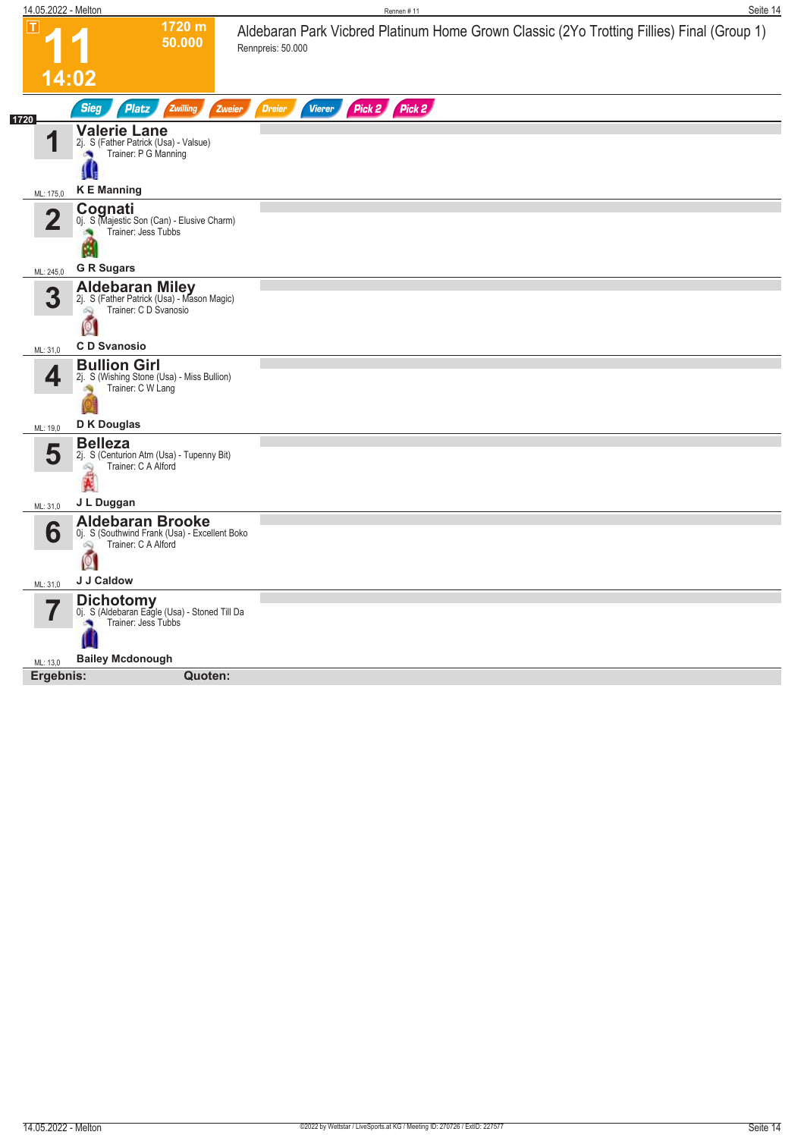| 14.05.2022 - Melton     |                                                                                                           | Rennen #11                                                                                                     | Seite 14 |
|-------------------------|-----------------------------------------------------------------------------------------------------------|----------------------------------------------------------------------------------------------------------------|----------|
| IΤI                     | 1720 m<br>50.000                                                                                          | Aldebaran Park Vicbred Platinum Home Grown Classic (2Yo Trotting Fillies) Final (Group 1)<br>Rennpreis: 50.000 |          |
|                         | 14:02                                                                                                     |                                                                                                                |          |
|                         | <b>Sieg</b><br>Zwilling<br><b>Platz</b><br>Zweier                                                         | Pick 2<br><b>Dreier</b><br>Vierer<br>Pick 2                                                                    |          |
| 1720                    | <b>Valerie Lane</b><br>2j. S (Father Patrick (Usa) - Valsue)<br>Trainer: P G Manning<br>×                 |                                                                                                                |          |
| ML: 175,0               | <b>KE</b> Manning                                                                                         |                                                                                                                |          |
| $\overline{\mathbf{2}}$ | Cognati<br>0j. S (Majestic Son (Can) - Elusive Charm)<br>Trainer: Jess Tubbs<br>М                         |                                                                                                                |          |
| ML: 245,0               | <b>G R Sugars</b>                                                                                         |                                                                                                                |          |
| 3                       | <b>Aldebaran Miley</b><br>2j. S (Father Patrick (Usa) - Mason Magic)<br>Trainer: C D Svanosio<br>Ŵ<br>Q   |                                                                                                                |          |
| ML: 31,0                | <b>CD</b> Svanosio                                                                                        |                                                                                                                |          |
| 4                       | <b>Bullion Girl</b><br>2j. S (Wishing Stone (Usa) - Miss Bullion)<br>Trainer: C W Lang                    |                                                                                                                |          |
| ML: 19,0                | D K Douglas                                                                                               |                                                                                                                |          |
| 5                       | <b>Belleza</b><br>2j. S (Centurion Atm (Usa) - Tupenny Bit)<br>Trainer: C A Alford<br>2                   |                                                                                                                |          |
| ML: 31,0                | J L Duggan                                                                                                |                                                                                                                |          |
| 6                       | <b>Aldebaran Brooke</b><br>0j. S (Southwind Frank (Usa) - Excellent Boko<br>Trainer: C A Alford<br>Q<br>Ø |                                                                                                                |          |
| ML: 31,0                | J J Caldow                                                                                                |                                                                                                                |          |
|                         | <b>Dichotomy</b><br>Oj. S (Aldebaran Eagle (Usa) - Stoned Till Da<br>Trainer: Jess Tubbs                  |                                                                                                                |          |
| ML: 13,0                | <b>Bailey Mcdonough</b>                                                                                   |                                                                                                                |          |
| Ergebnis:               | Quoten:                                                                                                   |                                                                                                                |          |
|                         |                                                                                                           |                                                                                                                |          |